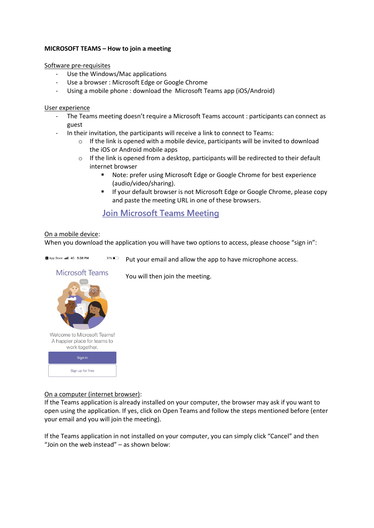### **MICROSOFT TEAMS – How to join a meeting**

Software pre-requisites

- Use the Windows/Mac applications
- Use a browser : Microsoft Edge or Google Chrome
- Using a mobile phone : download the Microsoft Teams app (iOS/Android)

#### User experience

- The Teams meeting doesn't require a Microsoft Teams account : participants can connect as guest
- In their invitation, the participants will receive a link to connect to Teams:
	- $\circ$  If the link is opened with a mobile device, participants will be invited to download the iOS or Android mobile apps
	- $\circ$  If the link is opened from a desktop, participants will be redirected to their default internet browser
		- Note: prefer using Microsoft Edge or Google Chrome for best experience (audio/video/sharing).
		- **If your default browser is not Microsoft Edge or Google Chrome, please copy** and paste the meeting URL in one of these browsers.

# **Join Microsoft Teams Meeting**

### On a mobile device:

App Store all 4G 5:38 PM

When you download the application you will have two options to access, please choose "sign in":

 $31\%$ Put your email and allow the app to have microphone access.

## **Microsoft Teams**

You will then join the meeting.



On a computer (internet browser):

If the Teams application is already installed on your computer, the browser may ask if you want to open using the application. If yes, click on Open Teams and follow the steps mentioned before (enter your email and you will join the meeting).

If the Teams application in not installed on your computer, you can simply click "Cancel" and then "Join on the web instead" – as shown below: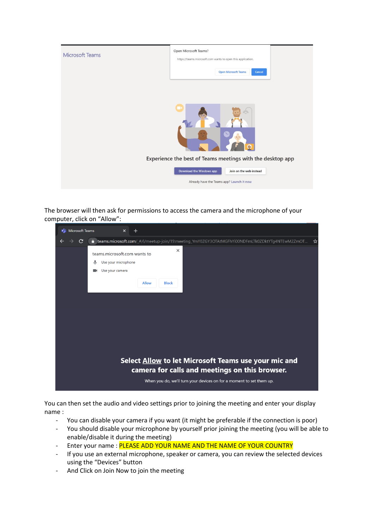

The browser will then ask for permissions to access the camera and the microphone of your computer, click on "Allow":



You can then set the audio and video settings prior to joining the meeting and enter your display name :

- You can disable your camera if you want (it might be preferable if the connection is poor)
- You should disable your microphone by yourself prior joining the meeting (you will be able to enable/disable it during the meeting)
- Enter your name : PLEASE ADD YOUR NAME AND THE NAME OF YOUR COUNTRY
- If you use an external microphone, speaker or camera, you can review the selected devices using the "Devices" button
- And Click on Join Now to join the meeting